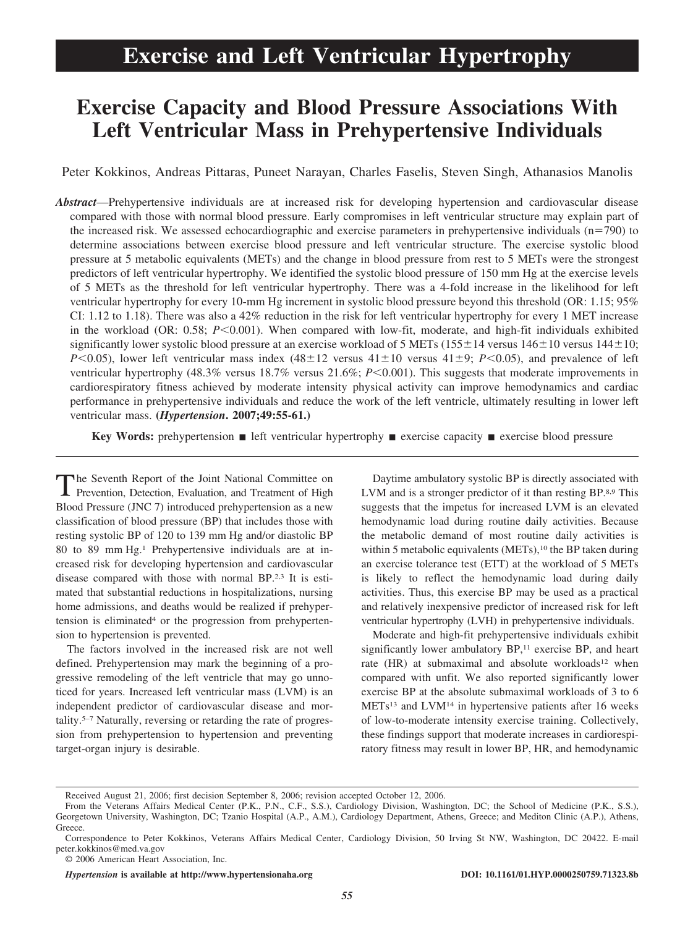# **Exercise and Left Ventricular Hypertrophy**

## **Exercise Capacity and Blood Pressure Associations With Left Ventricular Mass in Prehypertensive Individuals**

Peter Kokkinos, Andreas Pittaras, Puneet Narayan, Charles Faselis, Steven Singh, Athanasios Manolis

*Abstract*—Prehypertensive individuals are at increased risk for developing hypertension and cardiovascular disease compared with those with normal blood pressure. Early compromises in left ventricular structure may explain part of the increased risk. We assessed echocardiographic and exercise parameters in prehypertensive individuals  $(n=790)$  to determine associations between exercise blood pressure and left ventricular structure. The exercise systolic blood pressure at 5 metabolic equivalents (METs) and the change in blood pressure from rest to 5 METs were the strongest predictors of left ventricular hypertrophy. We identified the systolic blood pressure of 150 mm Hg at the exercise levels of 5 METs as the threshold for left ventricular hypertrophy. There was a 4-fold increase in the likelihood for left ventricular hypertrophy for every 10-mm Hg increment in systolic blood pressure beyond this threshold (OR: 1.15; 95% CI: 1.12 to 1.18). There was also a 42% reduction in the risk for left ventricular hypertrophy for every 1 MET increase in the workload (OR: 0.58; *P*<0.001). When compared with low-fit, moderate, and high-fit individuals exhibited significantly lower systolic blood pressure at an exercise workload of 5 METs (155 $\pm$ 14 versus 146 $\pm$ 10 versus 144 $\pm$ 10; *P*<0.05), lower left ventricular mass index  $(48\pm12)$  versus  $41\pm10$  versus  $41\pm9$ ; *P*<0.05), and prevalence of left ventricular hypertrophy (48.3% versus 18.7% versus 21.6%; *P*<0.001). This suggests that moderate improvements in cardiorespiratory fitness achieved by moderate intensity physical activity can improve hemodynamics and cardiac performance in prehypertensive individuals and reduce the work of the left ventricle, ultimately resulting in lower left ventricular mass. **(***Hypertension***. 2007;49:55-61.)**

**Key Words:** prehypertension **i** left ventricular hypertrophy **i** exercise capacity **i** exercise blood pressure

The Seventh Report of the Joint National Committee on Prevention, Detection, Evaluation, and Treatment of High Blood Pressure (JNC 7) introduced prehypertension as a new classification of blood pressure (BP) that includes those with resting systolic BP of 120 to 139 mm Hg and/or diastolic BP 80 to 89 mm Hg.1 Prehypertensive individuals are at increased risk for developing hypertension and cardiovascular disease compared with those with normal BP.2,3 It is estimated that substantial reductions in hospitalizations, nursing home admissions, and deaths would be realized if prehypertension is eliminated<sup>4</sup> or the progression from prehypertension to hypertension is prevented.

The factors involved in the increased risk are not well defined. Prehypertension may mark the beginning of a progressive remodeling of the left ventricle that may go unnoticed for years. Increased left ventricular mass (LVM) is an independent predictor of cardiovascular disease and mortality.5–7 Naturally, reversing or retarding the rate of progression from prehypertension to hypertension and preventing target-organ injury is desirable.

Daytime ambulatory systolic BP is directly associated with LVM and is a stronger predictor of it than resting BP.8,9 This suggests that the impetus for increased LVM is an elevated hemodynamic load during routine daily activities. Because the metabolic demand of most routine daily activities is within 5 metabolic equivalents (METs),<sup>10</sup> the BP taken during an exercise tolerance test (ETT) at the workload of 5 METs is likely to reflect the hemodynamic load during daily activities. Thus, this exercise BP may be used as a practical and relatively inexpensive predictor of increased risk for left ventricular hypertrophy (LVH) in prehypertensive individuals.

Moderate and high-fit prehypertensive individuals exhibit significantly lower ambulatory BP,<sup>11</sup> exercise BP, and heart rate (HR) at submaximal and absolute workloads<sup>12</sup> when compared with unfit. We also reported significantly lower exercise BP at the absolute submaximal workloads of 3 to 6 METs13 and LVM14 in hypertensive patients after 16 weeks of low-to-moderate intensity exercise training. Collectively, these findings support that moderate increases in cardiorespiratory fitness may result in lower BP, HR, and hemodynamic

© 2006 American Heart Association, Inc.

*Hypertension* **is available at http://www.hypertensionaha.org DOI: 10.1161/01.HYP.0000250759.71323.8b**

Received August 21, 2006; first decision September 8, 2006; revision accepted October 12, 2006.

From the Veterans Affairs Medical Center (P.K., P.N., C.F., S.S.), Cardiology Division, Washington, DC; the School of Medicine (P.K., S.S.), Georgetown University, Washington, DC; Tzanio Hospital (A.P., A.M.), Cardiology Department, Athens, Greece; and Mediton Clinic (A.P.), Athens, Greece.

Correspondence to Peter Kokkinos, Veterans Affairs Medical Center, Cardiology Division, 50 Irving St NW, Washington, DC 20422. E-mail peter.kokkinos@med.va.gov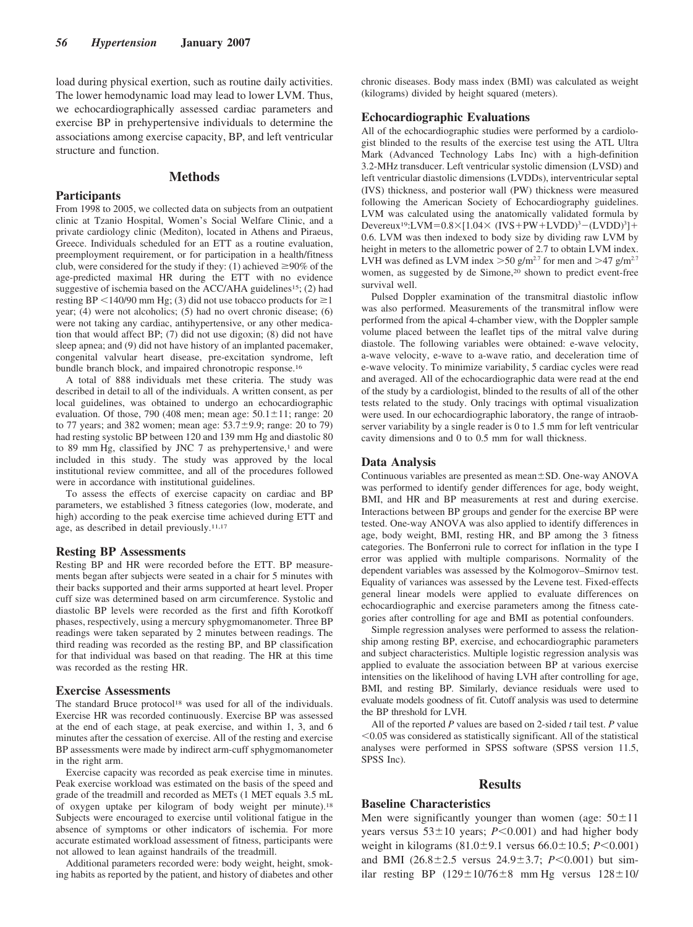load during physical exertion, such as routine daily activities. The lower hemodynamic load may lead to lower LVM. Thus, we echocardiographically assessed cardiac parameters and exercise BP in prehypertensive individuals to determine the associations among exercise capacity, BP, and left ventricular structure and function.

## **Methods**

#### **Participants**

From 1998 to 2005, we collected data on subjects from an outpatient clinic at Tzanio Hospital, Women's Social Welfare Clinic, and a private cardiology clinic (Mediton), located in Athens and Piraeus, Greece. Individuals scheduled for an ETT as a routine evaluation, preemployment requirement, or for participation in a health/fitness club, were considered for the study if they: (1) achieved  $\geq 90\%$  of the age-predicted maximal HR during the ETT with no evidence suggestive of ischemia based on the ACC/AHA guidelines<sup>15</sup>; (2) had resting BP <140/90 mm Hg; (3) did not use tobacco products for  $\geq$ 1 year; (4) were not alcoholics; (5) had no overt chronic disease; (6) were not taking any cardiac, antihypertensive, or any other medication that would affect BP; (7) did not use digoxin; (8) did not have sleep apnea; and (9) did not have history of an implanted pacemaker, congenital valvular heart disease, pre-excitation syndrome, left bundle branch block, and impaired chronotropic response.16

A total of 888 individuals met these criteria. The study was described in detail to all of the individuals. A written consent, as per local guidelines, was obtained to undergo an echocardiographic evaluation. Of those, 790 (408 men; mean age:  $50.1 \pm 11$ ; range: 20 to 77 years; and 382 women; mean age:  $53.7 \pm 9.9$ ; range: 20 to 79) had resting systolic BP between 120 and 139 mm Hg and diastolic 80 to 89 mm Hg, classified by JNC 7 as prehypertensive, $1$  and were included in this study. The study was approved by the local institutional review committee, and all of the procedures followed were in accordance with institutional guidelines.

To assess the effects of exercise capacity on cardiac and BP parameters, we established 3 fitness categories (low, moderate, and high) according to the peak exercise time achieved during ETT and age, as described in detail previously.<sup>11,17</sup>

#### **Resting BP Assessments**

Resting BP and HR were recorded before the ETT. BP measurements began after subjects were seated in a chair for 5 minutes with their backs supported and their arms supported at heart level. Proper cuff size was determined based on arm circumference. Systolic and diastolic BP levels were recorded as the first and fifth Korotkoff phases, respectively, using a mercury sphygmomanometer. Three BP readings were taken separated by 2 minutes between readings. The third reading was recorded as the resting BP, and BP classification for that individual was based on that reading. The HR at this time was recorded as the resting HR.

#### **Exercise Assessments**

The standard Bruce protocol<sup>18</sup> was used for all of the individuals. Exercise HR was recorded continuously. Exercise BP was assessed at the end of each stage, at peak exercise, and within 1, 3, and 6 minutes after the cessation of exercise. All of the resting and exercise BP assessments were made by indirect arm-cuff sphygmomanometer in the right arm.

Exercise capacity was recorded as peak exercise time in minutes. Peak exercise workload was estimated on the basis of the speed and grade of the treadmill and recorded as METs (1 MET equals 3.5 mL of oxygen uptake per kilogram of body weight per minute).18 Subjects were encouraged to exercise until volitional fatigue in the absence of symptoms or other indicators of ischemia. For more accurate estimated workload assessment of fitness, participants were not allowed to lean against handrails of the treadmill.

Additional parameters recorded were: body weight, height, smoking habits as reported by the patient, and history of diabetes and other chronic diseases. Body mass index (BMI) was calculated as weight (kilograms) divided by height squared (meters).

## **Echocardiographic Evaluations**

All of the echocardiographic studies were performed by a cardiologist blinded to the results of the exercise test using the ATL Ultra Mark (Advanced Technology Labs Inc) with a high-definition 3.2-MHz transducer. Left ventricular systolic dimension (LVSD) and left ventricular diastolic dimensions (LVDDs), interventricular septal (IVS) thickness, and posterior wall (PW) thickness were measured following the American Society of Echocardiography guidelines. LVM was calculated using the anatomically validated formula by Devereux<sup>19</sup>:LVM= $0.8\times$ [1.04 $\times$  (IVS+PW+LVDD)<sup>3</sup>-(LVDD)<sup>3</sup>]+ 0.6. LVM was then indexed to body size by dividing raw LVM by height in meters to the allometric power of 2.7 to obtain LVM index. LVH was defined as LVM index  $> 50$  g/m<sup>2.7</sup> for men and  $> 47$  g/m<sup>2.7</sup> women, as suggested by de Simone,<sup>20</sup> shown to predict event-free survival well.

Pulsed Doppler examination of the transmitral diastolic inflow was also performed. Measurements of the transmitral inflow were performed from the apical 4-chamber view, with the Doppler sample volume placed between the leaflet tips of the mitral valve during diastole. The following variables were obtained: e-wave velocity, a-wave velocity, e-wave to a-wave ratio, and deceleration time of e-wave velocity. To minimize variability, 5 cardiac cycles were read and averaged. All of the echocardiographic data were read at the end of the study by a cardiologist, blinded to the results of all of the other tests related to the study. Only tracings with optimal visualization were used. In our echocardiographic laboratory, the range of intraobserver variability by a single reader is 0 to 1.5 mm for left ventricular cavity dimensions and 0 to 0.5 mm for wall thickness.

#### **Data Analysis**

Continuous variables are presented as mean $\pm$ SD. One-way ANOVA was performed to identify gender differences for age, body weight, BMI, and HR and BP measurements at rest and during exercise. Interactions between BP groups and gender for the exercise BP were tested. One-way ANOVA was also applied to identify differences in age, body weight, BMI, resting HR, and BP among the 3 fitness categories. The Bonferroni rule to correct for inflation in the type I error was applied with multiple comparisons. Normality of the dependent variables was assessed by the Kolmogorov–Smirnov test. Equality of variances was assessed by the Levene test. Fixed-effects general linear models were applied to evaluate differences on echocardiographic and exercise parameters among the fitness categories after controlling for age and BMI as potential confounders.

Simple regression analyses were performed to assess the relationship among resting BP, exercise, and echocardiographic parameters and subject characteristics. Multiple logistic regression analysis was applied to evaluate the association between BP at various exercise intensities on the likelihood of having LVH after controlling for age, BMI, and resting BP. Similarly, deviance residuals were used to evaluate models goodness of fit. Cutoff analysis was used to determine the BP threshold for LVH.

All of the reported *P* values are based on 2-sided *t* tail test. *P* value -0.05 was considered as statistically significant. All of the statistical analyses were performed in SPSS software (SPSS version 11.5, SPSS Inc).

#### **Results**

## **Baseline Characteristics**

Men were significantly younger than women (age:  $50 \pm 11$ ) years versus  $53 \pm 10$  years;  $P \le 0.001$ ) and had higher body weight in kilograms  $(81.0 \pm 9.1 \text{ versus } 66.0 \pm 10.5; P \le 0.001)$ and BMI  $(26.8 \pm 2.5 \text{ versus } 24.9 \pm 3.7; P < 0.001)$  but similar resting BP  $(129 \pm 10/76 \pm 8 \text{ mm Hg}$  versus  $128 \pm 10/$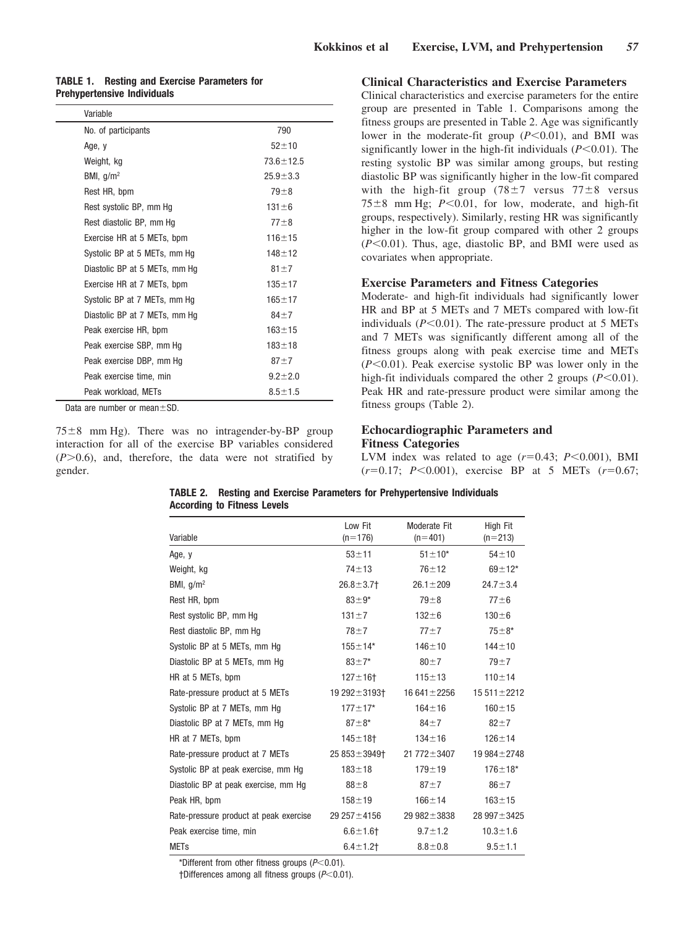|                                    |  | <b>TABLE 1. Resting and Exercise Parameters for</b> |  |
|------------------------------------|--|-----------------------------------------------------|--|
| <b>Prehypertensive Individuals</b> |  |                                                     |  |

| Variable                      |                 |
|-------------------------------|-----------------|
| No. of participants           | 790             |
| Age, y                        | $52 + 10$       |
| Weight, kg                    | $73.6 \pm 12.5$ |
| BMI, $q/m^2$                  | $25.9 + 3.3$    |
| Rest HR, bpm                  | $79 + 8$        |
| Rest systolic BP, mm Hg       | $131 \pm 6$     |
| Rest diastolic BP, mm Hq      | $77 + 8$        |
| Exercise HR at 5 METs, bpm    | $116 + 15$      |
| Systolic BP at 5 METs, mm Hg  | $148 + 12$      |
| Diastolic BP at 5 METs, mm Hg | $81 + 7$        |
| Exercise HR at 7 METs, bpm    | $135 + 17$      |
| Systolic BP at 7 METs, mm Hg  | $165 + 17$      |
| Diastolic BP at 7 METs, mm Hg | $84 + 7$        |
| Peak exercise HR, bpm         | $163 + 15$      |
| Peak exercise SBP, mm Hg      | $183 + 18$      |
| Peak exercise DBP, mm Hg      | $87 + 7$        |
| Peak exercise time, min       | $9.2 + 2.0$     |
| Peak workload, METs           | $8.5 \pm 1.5$   |

Data are number or mean $\pm$ SD.

 $75\pm8$  mm Hg). There was no intragender-by-BP group interaction for all of the exercise BP variables considered  $(P>0.6)$ , and, therefore, the data were not stratified by gender.

## **Clinical Characteristics and Exercise Parameters**

Clinical characteristics and exercise parameters for the entire group are presented in Table 1. Comparisons among the fitness groups are presented in Table 2. Age was significantly lower in the moderate-fit group ( $P \le 0.01$ ), and BMI was significantly lower in the high-fit individuals  $(P<0.01)$ . The resting systolic BP was similar among groups, but resting diastolic BP was significantly higher in the low-fit compared with the high-fit group  $(78\pm7$  versus  $77\pm8$  versus  $75\pm8$  mm Hg;  $P < 0.01$ , for low, moderate, and high-fit groups, respectively). Similarly, resting HR was significantly higher in the low-fit group compared with other 2 groups (*P*-0.01). Thus, age, diastolic BP, and BMI were used as covariates when appropriate.

## **Exercise Parameters and Fitness Categories**

Moderate- and high-fit individuals had significantly lower HR and BP at 5 METs and 7 METs compared with low-fit individuals (P<0.01). The rate-pressure product at 5 METs and 7 METs was significantly different among all of the fitness groups along with peak exercise time and METs (*P*-0.01). Peak exercise systolic BP was lower only in the high-fit individuals compared the other 2 groups  $(P<0.01)$ . Peak HR and rate-pressure product were similar among the fitness groups (Table 2).

## **Echocardiographic Parameters and Fitness Categories**

LVM index was related to age  $(r=0.43; P<0.001)$ , BMI  $(r=0.17; P<0.001)$ , exercise BP at 5 METs  $(r=0.67;$ 

| Variable                               | Low Fit<br>$(n=176)$ | Moderate Fit<br>$(n=401)$ | High Fit<br>$(n=213)$ |  |
|----------------------------------------|----------------------|---------------------------|-----------------------|--|
|                                        | $53 + 11$            | $51 \pm 10^*$             | $54 + 10$             |  |
| Age, y                                 |                      |                           |                       |  |
| Weight, kg                             | $74 + 13$            | $76 + 12$                 | $69 + 12*$            |  |
| BMI, $g/m2$                            | $26.8 \pm 3.7$       | $26.1 \pm 209$            | $24.7 \pm 3.4$        |  |
| Rest HR, bpm                           | $83 + 9*$            | $79 + 8$                  | $77 + 6$              |  |
| Rest systolic BP, mm Hg                | $131 + 7$            | $132 + 6$                 | $130 + 6$             |  |
| Rest diastolic BP, mm Hq               | $78 + 7$             | $77 + 7$                  | $75 + 8*$             |  |
| Systolic BP at 5 METs, mm Hq           | $155 + 14*$          | $146 + 10$                | $144 + 10$            |  |
| Diastolic BP at 5 METs, mm Hq          | $83 + 7*$            | $80 \pm 7$                | $79 + 7$              |  |
| HR at 5 METs, bpm                      | $127 + 16$           | $115 + 13$                | $110 + 14$            |  |
| Rate-pressure product at 5 METs        | 19 292 ± 3193†       | $16641 \pm 2256$          | 15 511 ± 2212         |  |
| Systolic BP at 7 METs, mm Hq           | $177 \pm 17$ *       | $164 + 16$                | $160 + 15$            |  |
| Diastolic BP at 7 METs, mm Hq          | $87 + 8*$            | $84 \pm 7$                | $82 + 7$              |  |
| HR at 7 METs, bpm                      | $145 + 18$           | $134 + 16$                | $126 + 14$            |  |
| Rate-pressure product at 7 METs        | $25.853 \pm 3949$    | $21772 \pm 3407$          | 19 984 ± 2748         |  |
| Systolic BP at peak exercise, mm Hq    | $183 + 18$           | $179 + 19$                | $176 + 18*$           |  |
| Diastolic BP at peak exercise, mm Hq   | $88\pm8$             | $87 + 7$                  | $86 + 7$              |  |
| Peak HR, bpm                           | $158 + 19$           | $166 + 14$                | $163 + 15$            |  |
| Rate-pressure product at peak exercise | 29 257 ± 4156        | 29 $982 \pm 3838$         | 28 997 ± 3425         |  |
| Peak exercise time, min                | $6.6 + 1.6 +$        | $9.7 \pm 1.2$             | $10.3 \pm 1.6$        |  |
| <b>METs</b>                            | $6.4 \pm 1.2$        | $8.8 + 0.8$               | $9.5 + 1.1$           |  |

| TABLE 2. Resting and Exercise Parameters for Prehypertensive Individuals |
|--------------------------------------------------------------------------|
| According to Fitness Levels                                              |

\*Different from other fitness groups (*P*-0.01).

†Differences among all fitness groups (*P*-0.01).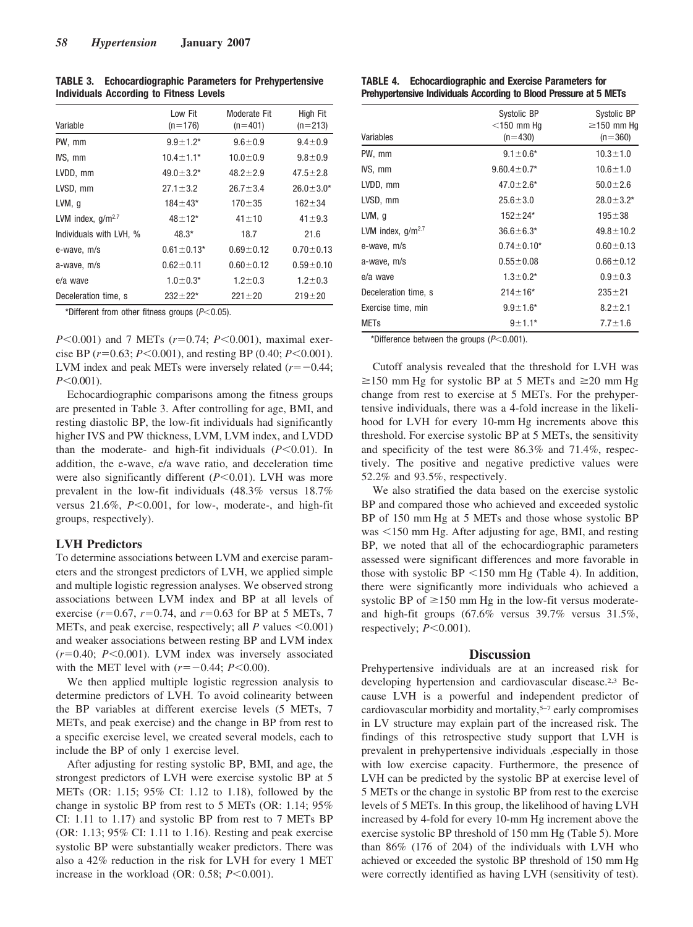| Variable                | Low Fit<br>$(n=176)$ | Moderate Fit<br>$(n=401)$ | High Fit<br>$(n=213)$ |
|-------------------------|----------------------|---------------------------|-----------------------|
| PW, mm                  | $9.9 \pm 1.2^*$      | $9.6 \pm 0.9$             | $9.4 \pm 0.9$         |
| IVS, mm                 | $10.4 \pm 1.1*$      | $10.0 \pm 0.9$            | $9.8 \pm 0.9$         |
| LVDD, mm                | $49.0 \pm 3.2*$      | $48.2 \pm 2.9$            | $47.5 \pm 2.8$        |
| LVSD, mm                | $27.1 \pm 3.2$       | $26.7 \pm 3.4$            | $26.0 \pm 3.0*$       |
| $LVM$ , g               | $184 \pm 43$ *       | $170 + 35$                | $162 + 34$            |
| LVM index, $q/m^{2.7}$  | $48 + 12^{*}$        | $41 + 10$                 | $41 + 9.3$            |
| Individuals with LVH, % | $48.3*$              | 18.7                      | 21.6                  |
| e-wave, m/s             | $0.61 \pm 0.13$ *    | $0.69 - 0.12$             | $0.70 \pm 0.13$       |
| a-wave, m/s             | $0.62 \pm 0.11$      | $0.60 \pm 0.12$           | $0.59 \pm 0.10$       |
| e/a wave                | $1.0 \pm 0.3*$       | $1.2 \pm 0.3$             | $1.2 \pm 0.3$         |
| Deceleration time, s    | $232 + 22*$          | $221 \pm 20$              | $219 + 20$            |

**TABLE 3. Echocardiographic Parameters for Prehypertensive Individuals According to Fitness Levels**

\*Different from other fitness groups (*P*-0.05).

*P*<0.001) and 7 METs (*r*=0.74; *P*<0.001), maximal exercise BP  $(r=0.63; P<0.001)$ , and resting BP  $(0.40; P<0.001)$ . LVM index and peak METs were inversely related  $(r=-0.44;$ *P*-0.001).

Echocardiographic comparisons among the fitness groups are presented in Table 3. After controlling for age, BMI, and resting diastolic BP, the low-fit individuals had significantly higher IVS and PW thickness, LVM, LVM index, and LVDD than the moderate- and high-fit individuals (*P*-0.01). In addition, the e-wave, e/a wave ratio, and deceleration time were also significantly different (*P*<0.01). LVH was more prevalent in the low-fit individuals (48.3% versus 18.7% versus 21.6%, *P*<0.001, for low-, moderate-, and high-fit groups, respectively).

## **LVH Predictors**

To determine associations between LVM and exercise parameters and the strongest predictors of LVH, we applied simple and multiple logistic regression analyses. We observed strong associations between LVM index and BP at all levels of exercise  $(r=0.67, r=0.74,$  and  $r=0.63$  for BP at 5 METs, 7 METs, and peak exercise, respectively; all  $P$  values  $\leq 0.001$ ) and weaker associations between resting BP and LVM index  $(r=0.40; P<0.001)$ . LVM index was inversely associated with the MET level with  $(r = -0.44; P < 0.00)$ .

We then applied multiple logistic regression analysis to determine predictors of LVH. To avoid colinearity between the BP variables at different exercise levels (5 METs, 7 METs, and peak exercise) and the change in BP from rest to a specific exercise level, we created several models, each to include the BP of only 1 exercise level.

After adjusting for resting systolic BP, BMI, and age, the strongest predictors of LVH were exercise systolic BP at 5 METs (OR: 1.15; 95% CI: 1.12 to 1.18), followed by the change in systolic BP from rest to 5 METs (OR: 1.14; 95% CI: 1.11 to 1.17) and systolic BP from rest to 7 METs BP (OR: 1.13; 95% CI: 1.11 to 1.16). Resting and peak exercise systolic BP were substantially weaker predictors. There was also a 42% reduction in the risk for LVH for every 1 MET increase in the workload (OR:  $0.58$ ;  $P < 0.001$ ).

| <b>TABLE 4.</b> | <b>Echocardiographic and Exercise Parameters for</b>              |
|-----------------|-------------------------------------------------------------------|
|                 | Prehypertensive Individuals According to Blood Pressure at 5 METs |

| Variables              | Systolic BP<br>$<$ 150 mm Hq<br>$(n=430)$ | Systolic BP<br>$\geq$ 150 mm Hq<br>$(n=360)$ |  |
|------------------------|-------------------------------------------|----------------------------------------------|--|
| PW, mm                 | $9.1 \pm 0.6*$                            | $10.3 \pm 1.0$                               |  |
| IVS, mm                | $9.60.4 \pm 0.7*$                         | $10.6 \pm 1.0$                               |  |
| LVDD, mm               | $47.0 \pm 2.6*$                           | $50.0 \pm 2.6$                               |  |
| LVSD, mm               | $25.6 \pm 3.0$                            | $28.0 \pm 3.2^*$                             |  |
| LVM, q                 | $152 + 24*$                               | $195 + 38$                                   |  |
| LVM index, $q/m^{2.7}$ | $36.6 \pm 6.3*$                           | $49.8 \pm 10.2$                              |  |
| e-wave, m/s            | $0.74 \pm 0.10*$                          | $0.60 \pm 0.13$                              |  |
| a-wave, m/s            | $0.55 \pm 0.08$                           | $0.66 \pm 0.12$                              |  |
| e/a wave               | $1.3 \pm 0.2^*$                           | $0.9 + 0.3$                                  |  |
| Deceleration time, s   | $214 \pm 16^*$                            | $235 + 21$                                   |  |
| Exercise time, min     | $9.9 \pm 1.6^*$                           | $8.2 \pm 2.1$                                |  |
| <b>METs</b>            | $9 + 1.1*$                                | $7.7 \pm 1.6$                                |  |

\*Difference between the groups (*P*-0.001).

Cutoff analysis revealed that the threshold for LVH was  $\geq$ 150 mm Hg for systolic BP at 5 METs and  $\geq$ 20 mm Hg change from rest to exercise at 5 METs. For the prehypertensive individuals, there was a 4-fold increase in the likelihood for LVH for every 10-mm Hg increments above this threshold. For exercise systolic BP at 5 METs, the sensitivity and specificity of the test were 86.3% and 71.4%, respectively. The positive and negative predictive values were 52.2% and 93.5%, respectively.

We also stratified the data based on the exercise systolic BP and compared those who achieved and exceeded systolic BP of 150 mm Hg at 5 METs and those whose systolic BP was <150 mm Hg. After adjusting for age, BMI, and resting BP, we noted that all of the echocardiographic parameters assessed were significant differences and more favorable in those with systolic  $BP < 150$  mm Hg (Table 4). In addition, there were significantly more individuals who achieved a systolic BP of  $\geq 150$  mm Hg in the low-fit versus moderateand high-fit groups (67.6% versus 39.7% versus 31.5%, respectively;  $P \leq 0.001$ ).

## **Discussion**

Prehypertensive individuals are at an increased risk for developing hypertension and cardiovascular disease.2,3 Because LVH is a powerful and independent predictor of cardiovascular morbidity and mortality,5–7 early compromises in LV structure may explain part of the increased risk. The findings of this retrospective study support that LVH is prevalent in prehypertensive individuals ,especially in those with low exercise capacity. Furthermore, the presence of LVH can be predicted by the systolic BP at exercise level of 5 METs or the change in systolic BP from rest to the exercise levels of 5 METs. In this group, the likelihood of having LVH increased by 4-fold for every 10-mm Hg increment above the exercise systolic BP threshold of 150 mm Hg (Table 5). More than 86% (176 of 204) of the individuals with LVH who achieved or exceeded the systolic BP threshold of 150 mm Hg were correctly identified as having LVH (sensitivity of test).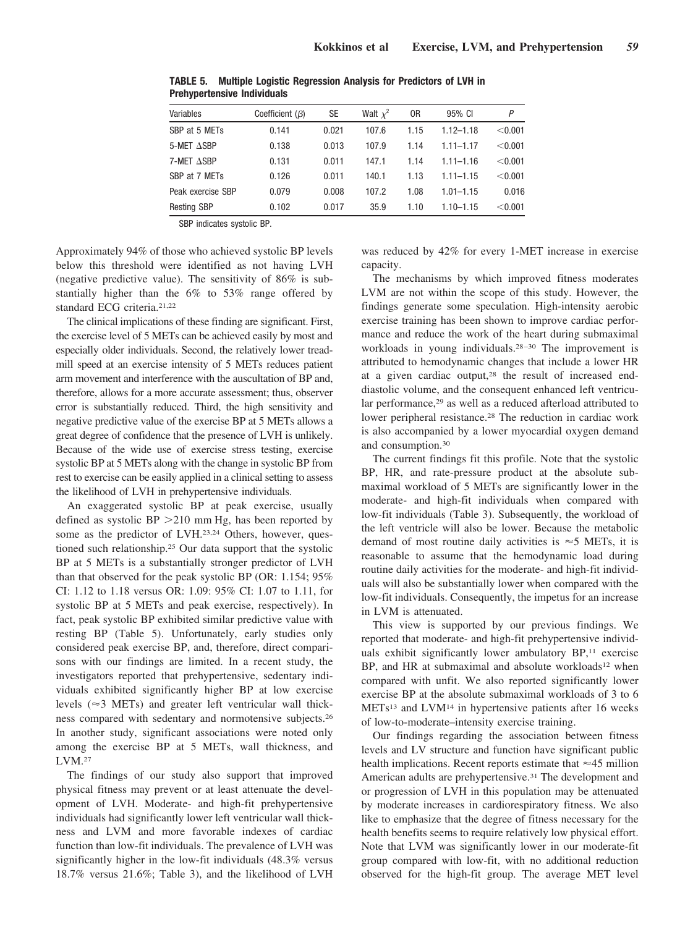| Variables          | Coefficient $(\beta)$ | SE    | Walt $x^2$ | 0R   | 95% CI        | Ρ       |
|--------------------|-----------------------|-------|------------|------|---------------|---------|
| SBP at 5 METs      | 0.141                 | 0.021 | 107.6      | 1.15 | $1.12 - 1.18$ | < 0.001 |
| 5-MET ASBP         | 0.138                 | 0.013 | 107.9      | 1.14 | $1.11 - 1.17$ | < 0.001 |
| 7-MET ASBP         | 0.131                 | 0.011 | 147.1      | 1.14 | $1.11 - 1.16$ | < 0.001 |
| SBP at 7 METs      | 0.126                 | 0.011 | 140.1      | 1.13 | $1.11 - 1.15$ | < 0.001 |
| Peak exercise SBP  | 0.079                 | 0.008 | 107.2      | 1.08 | $1.01 - 1.15$ | 0.016   |
| <b>Resting SBP</b> | 0.102                 | 0.017 | 35.9       | 1.10 | $1.10 - 1.15$ | < 0.001 |

**TABLE 5. Multiple Logistic Regression Analysis for Predictors of LVH in Prehypertensive Individuals**

SBP indicates systolic BP.

Approximately 94% of those who achieved systolic BP levels below this threshold were identified as not having LVH (negative predictive value). The sensitivity of 86% is substantially higher than the 6% to 53% range offered by standard ECG criteria.21,22

The clinical implications of these finding are significant. First, the exercise level of 5 METs can be achieved easily by most and especially older individuals. Second, the relatively lower treadmill speed at an exercise intensity of 5 METs reduces patient arm movement and interference with the auscultation of BP and, therefore, allows for a more accurate assessment; thus, observer error is substantially reduced. Third, the high sensitivity and negative predictive value of the exercise BP at 5 METs allows a great degree of confidence that the presence of LVH is unlikely. Because of the wide use of exercise stress testing, exercise systolic BP at 5 METs along with the change in systolic BP from rest to exercise can be easily applied in a clinical setting to assess the likelihood of LVH in prehypertensive individuals.

An exaggerated systolic BP at peak exercise, usually defined as systolic  $BP > 210$  mm Hg, has been reported by some as the predictor of LVH.23,24 Others, however, questioned such relationship.25 Our data support that the systolic BP at 5 METs is a substantially stronger predictor of LVH than that observed for the peak systolic BP (OR: 1.154; 95% CI: 1.12 to 1.18 versus OR: 1.09: 95% CI: 1.07 to 1.11, for systolic BP at 5 METs and peak exercise, respectively). In fact, peak systolic BP exhibited similar predictive value with resting BP (Table 5). Unfortunately, early studies only considered peak exercise BP, and, therefore, direct comparisons with our findings are limited. In a recent study, the investigators reported that prehypertensive, sedentary individuals exhibited significantly higher BP at low exercise levels ( $\approx$ 3 METs) and greater left ventricular wall thickness compared with sedentary and normotensive subjects.26 In another study, significant associations were noted only among the exercise BP at 5 METs, wall thickness, and LVM.27

The findings of our study also support that improved physical fitness may prevent or at least attenuate the development of LVH. Moderate- and high-fit prehypertensive individuals had significantly lower left ventricular wall thickness and LVM and more favorable indexes of cardiac function than low-fit individuals. The prevalence of LVH was significantly higher in the low-fit individuals (48.3% versus 18.7% versus 21.6%; Table 3), and the likelihood of LVH

was reduced by 42% for every 1-MET increase in exercise capacity.

The mechanisms by which improved fitness moderates LVM are not within the scope of this study. However, the findings generate some speculation. High-intensity aerobic exercise training has been shown to improve cardiac performance and reduce the work of the heart during submaximal workloads in young individuals.28 –30 The improvement is attributed to hemodynamic changes that include a lower HR at a given cardiac output,28 the result of increased enddiastolic volume, and the consequent enhanced left ventricular performance,<sup>29</sup> as well as a reduced afterload attributed to lower peripheral resistance.<sup>28</sup> The reduction in cardiac work is also accompanied by a lower myocardial oxygen demand and consumption.30

The current findings fit this profile. Note that the systolic BP, HR, and rate-pressure product at the absolute submaximal workload of 5 METs are significantly lower in the moderate- and high-fit individuals when compared with low-fit individuals (Table 3). Subsequently, the workload of the left ventricle will also be lower. Because the metabolic demand of most routine daily activities is  $\approx$  5 METs, it is reasonable to assume that the hemodynamic load during routine daily activities for the moderate- and high-fit individuals will also be substantially lower when compared with the low-fit individuals. Consequently, the impetus for an increase in LVM is attenuated.

This view is supported by our previous findings. We reported that moderate- and high-fit prehypertensive individuals exhibit significantly lower ambulatory BP,<sup>11</sup> exercise BP, and HR at submaximal and absolute workloads<sup>12</sup> when compared with unfit. We also reported significantly lower exercise BP at the absolute submaximal workloads of 3 to 6 METs13 and LVM14 in hypertensive patients after 16 weeks of low-to-moderate–intensity exercise training.

Our findings regarding the association between fitness levels and LV structure and function have significant public health implications. Recent reports estimate that  $\approx$ 45 million American adults are prehypertensive.31 The development and or progression of LVH in this population may be attenuated by moderate increases in cardiorespiratory fitness. We also like to emphasize that the degree of fitness necessary for the health benefits seems to require relatively low physical effort. Note that LVM was significantly lower in our moderate-fit group compared with low-fit, with no additional reduction observed for the high-fit group. The average MET level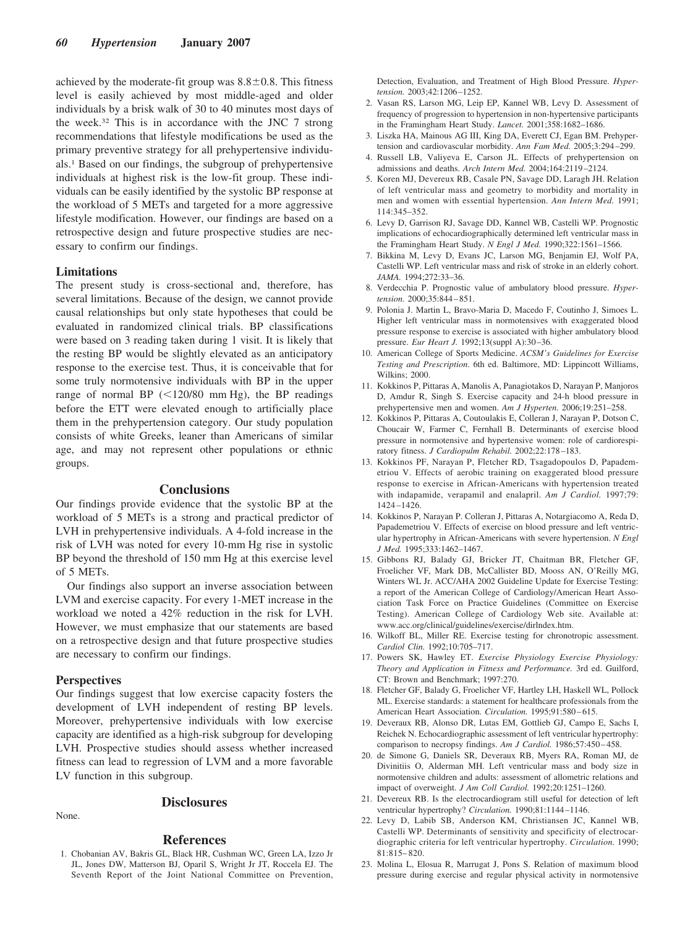achieved by the moderate-fit group was  $8.8 \pm 0.8$ . This fitness level is easily achieved by most middle-aged and older individuals by a brisk walk of 30 to 40 minutes most days of the week.32 This is in accordance with the JNC 7 strong recommendations that lifestyle modifications be used as the primary preventive strategy for all prehypertensive individuals.1 Based on our findings, the subgroup of prehypertensive individuals at highest risk is the low-fit group. These individuals can be easily identified by the systolic BP response at the workload of 5 METs and targeted for a more aggressive lifestyle modification. However, our findings are based on a retrospective design and future prospective studies are necessary to confirm our findings.

## **Limitations**

The present study is cross-sectional and, therefore, has several limitations. Because of the design, we cannot provide causal relationships but only state hypotheses that could be evaluated in randomized clinical trials. BP classifications were based on 3 reading taken during 1 visit. It is likely that the resting BP would be slightly elevated as an anticipatory response to the exercise test. Thus, it is conceivable that for some truly normotensive individuals with BP in the upper range of normal BP  $(<120/80$  mm Hg), the BP readings before the ETT were elevated enough to artificially place them in the prehypertension category. Our study population consists of white Greeks, leaner than Americans of similar age, and may not represent other populations or ethnic groups.

## **Conclusions**

Our findings provide evidence that the systolic BP at the workload of 5 METs is a strong and practical predictor of LVH in prehypertensive individuals. A 4-fold increase in the risk of LVH was noted for every 10-mm Hg rise in systolic BP beyond the threshold of 150 mm Hg at this exercise level of 5 METs.

Our findings also support an inverse association between LVM and exercise capacity. For every 1-MET increase in the workload we noted a 42% reduction in the risk for LVH. However, we must emphasize that our statements are based on a retrospective design and that future prospective studies are necessary to confirm our findings.

## **Perspectives**

Our findings suggest that low exercise capacity fosters the development of LVH independent of resting BP levels. Moreover, prehypertensive individuals with low exercise capacity are identified as a high-risk subgroup for developing LVH. Prospective studies should assess whether increased fitness can lead to regression of LVM and a more favorable LV function in this subgroup.

None.

## **Disclosures**

#### **References**

1. Chobanian AV, Bakris GL, Black HR, Cushman WC, Green LA, Izzo Jr JL, Jones DW, Matterson BJ, Oparil S, Wright Jr JT, Roccela EJ. The Seventh Report of the Joint National Committee on Prevention, Detection, Evaluation, and Treatment of High Blood Pressure. *Hypertension.* 2003;42:1206 –1252.

- 2. Vasan RS, Larson MG, Leip EP, Kannel WB, Levy D. Assessment of frequency of progression to hypertension in non-hypertensive participants in the Framingham Heart Study. *Lancet.* 2001;358:1682–1686.
- 3. Liszka HA, Mainous AG III, King DA, Everett CJ, Egan BM. Prehypertension and cardiovascular morbidity. *Ann Fam Med.* 2005;3:294 –299.
- 4. Russell LB, Valiyeva E, Carson JL. Effects of prehypertension on admissions and deaths. *Arch Intern Med.* 2004;164:2119 –2124.
- 5. Koren MJ, Devereux RB, Casale PN, Savage DD, Laragh JH. Relation of left ventricular mass and geometry to morbidity and mortality in men and women with essential hypertension. *Ann Intern Med.* 1991; 114:345–352.
- 6. Levy D, Garrison RJ, Savage DD, Kannel WB, Castelli WP. Prognostic implications of echocardiographically determined left ventricular mass in the Framingham Heart Study. *N Engl J Med.* 1990;322:1561–1566.
- 7. Bikkina M, Levy D, Evans JC, Larson MG, Benjamin EJ, Wolf PA, Castelli WP. Left ventricular mass and risk of stroke in an elderly cohort. *JAMA.* 1994;272:33–36.
- 8. Verdecchia P. Prognostic value of ambulatory blood pressure. *Hypertension.* 2000;35:844 – 851.
- 9. Polonia J. Martin L, Bravo-Maria D, Macedo F, Coutinho J, Simoes L. Higher left ventricular mass in normotensives with exaggerated blood pressure response to exercise is associated with higher ambulatory blood pressure. *Eur Heart J.* 1992;13(suppl A):30 –36.
- 10. American College of Sports Medicine. *ACSM's Guidelines for Exercise Testing and Prescription*. 6th ed. Baltimore, MD: Lippincott Williams, Wilkins; 2000.
- 11. Kokkinos P, Pittaras A, Manolis A, Panagiotakos D, Narayan P, Manjoros D, Amdur R, Singh S. Exercise capacity and 24-h blood pressure in prehypertensive men and women. *Am J Hyperten.* 2006;19:251–258.
- 12. Kokkinos P, Pittaras A, Coutoulakis E, Colleran J, Narayan P, Dotson C, Choucair W, Farmer C, Fernhall B. Determinants of exercise blood pressure in normotensive and hypertensive women: role of cardiorespiratory fitness. *J Cardiopulm Rehabil.* 2002;22:178 –183.
- 13. Kokkinos PF, Narayan P, Fletcher RD, Tsagadopoulos D, Papademetriou V. Effects of aerobic training on exaggerated blood pressure response to exercise in African-Americans with hypertension treated with indapamide, verapamil and enalapril. *Am J Cardiol.* 1997;79: 1424 –1426.
- 14. Kokkinos P, Narayan P. Colleran J, Pittaras A, Notargiacomo A, Reda D, Papademetriou V. Effects of exercise on blood pressure and left ventricular hypertrophy in African-Americans with severe hypertension. *N Engl J Med.* 1995;333:1462–1467.
- 15. Gibbons RJ, Balady GJ, Bricker JT, Chaitman BR, Fletcher GF, Froelicher VF, Mark DB, McCallister BD, Mooss AN, O'Reilly MG, Winters WL Jr. ACC/AHA 2002 Guideline Update for Exercise Testing: a report of the American College of Cardiology/American Heart Association Task Force on Practice Guidelines (Committee on Exercise Testing). American College of Cardiology Web site. Available at: www.acc.org/clinical/guidelines/exercise/dirlndex.htm.
- 16. Wilkoff BL, Miller RE. Exercise testing for chronotropic assessment. *Cardiol Clin.* 1992;10:705–717.
- 17. Powers SK, Hawley ET. *Exercise Physiology Exercise Physiology: Theory and Application in Fitness and Performance.* 3rd ed. Guilford, CT: Brown and Benchmark; 1997:270.
- 18. Fletcher GF, Balady G, Froelicher VF, Hartley LH, Haskell WL, Pollock ML. Exercise standards: a statement for healthcare professionals from the American Heart Association. *Circulation*. 1995;91:580-615.
- 19. Deveraux RB, Alonso DR, Lutas EM, Gottlieb GJ, Campo E, Sachs I, Reichek N. Echocardiographic assessment of left ventricular hypertrophy: comparison to necropsy findings. Am J Cardiol. 1986;57:450-458.
- 20. de Simone G, Daniels SR, Deveraux RB, Myers RA, Roman MJ, de Divinitiis O, Alderman MH. Left ventricular mass and body size in normotensive children and adults: assessment of allometric relations and impact of overweight. *J Am Coll Cardiol.* 1992;20:1251–1260.
- 21. Devereux RB. Is the electrocardiogram still useful for detection of left ventricular hypertrophy? *Circulation.* 1990;81:1144 –1146.
- 22. Levy D, Labib SB, Anderson KM, Christiansen JC, Kannel WB, Castelli WP. Determinants of sensitivity and specificity of electrocardiographic criteria for left ventricular hypertrophy. *Circulation.* 1990; 81:815– 820.
- 23. Molina L, Elosua R, Marrugat J, Pons S. Relation of maximum blood pressure during exercise and regular physical activity in normotensive